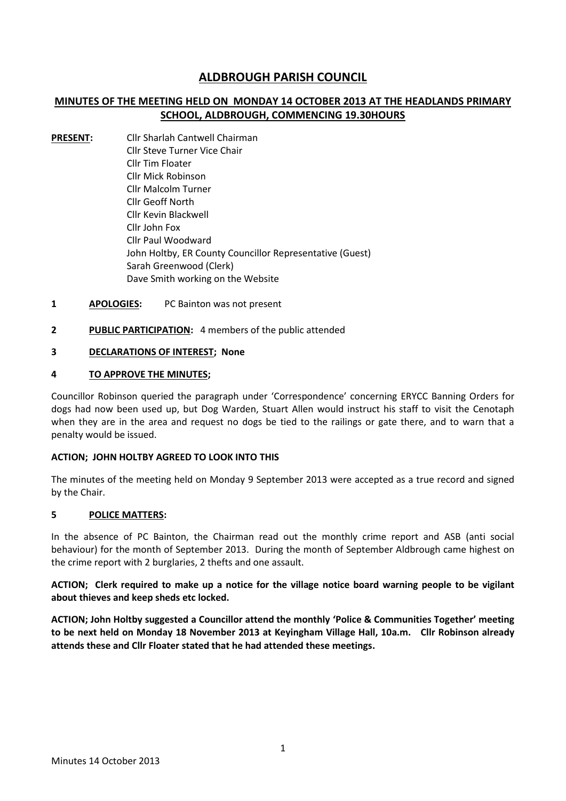# **ALDBROUGH PARISH COUNCIL**

## **MINUTES OF THE MEETING HELD ON MONDAY 14 OCTOBER 2013 AT THE HEADLANDS PRIMARY SCHOOL, ALDBROUGH, COMMENCING 19.30HOURS**

- **PRESENT:** Cllr Sharlah Cantwell Chairman Cllr Steve Turner Vice Chair Cllr Tim Floater Cllr Mick Robinson Cllr Malcolm Turner Cllr Geoff North Cllr Kevin Blackwell Cllr John Fox Cllr Paul Woodward John Holtby, ER County Councillor Representative (Guest) Sarah Greenwood (Clerk) Dave Smith working on the Website
- **1 APOLOGIES:** PC Bainton was not present
- **2 PUBLIC PARTICIPATION:** 4 members of the public attended

### **3 DECLARATIONS OF INTEREST; None**

#### **4 TO APPROVE THE MINUTES;**

Councillor Robinson queried the paragraph under 'Correspondence' concerning ERYCC Banning Orders for dogs had now been used up, but Dog Warden, Stuart Allen would instruct his staff to visit the Cenotaph when they are in the area and request no dogs be tied to the railings or gate there, and to warn that a penalty would be issued.

#### **ACTION; JOHN HOLTBY AGREED TO LOOK INTO THIS**

The minutes of the meeting held on Monday 9 September 2013 were accepted as a true record and signed by the Chair.

### **5 POLICE MATTERS:**

In the absence of PC Bainton, the Chairman read out the monthly crime report and ASB (anti social behaviour) for the month of September 2013. During the month of September Aldbrough came highest on the crime report with 2 burglaries, 2 thefts and one assault.

**ACTION; Clerk required to make up a notice for the village notice board warning people to be vigilant about thieves and keep sheds etc locked.**

**ACTION; John Holtby suggested a Councillor attend the monthly 'Police & Communities Together' meeting to be next held on Monday 18 November 2013 at Keyingham Village Hall, 10a.m. Cllr Robinson already attends these and Cllr Floater stated that he had attended these meetings.**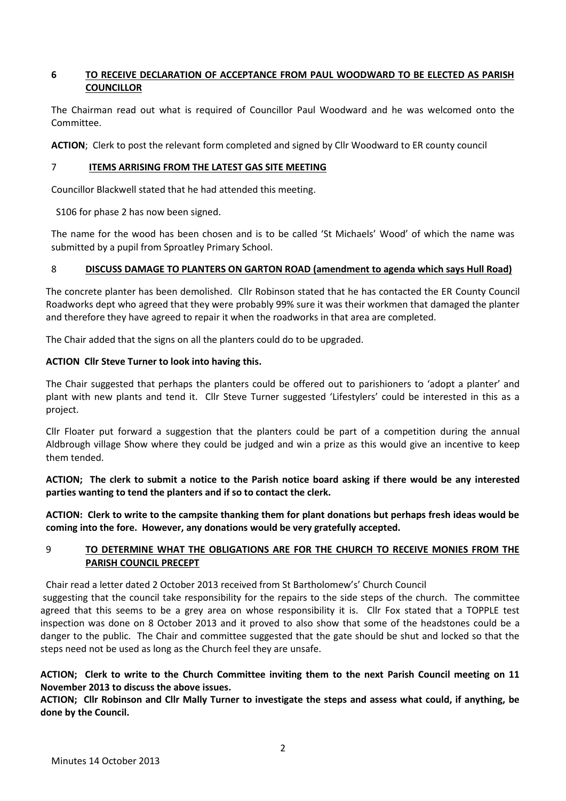### **6 TO RECEIVE DECLARATION OF ACCEPTANCE FROM PAUL WOODWARD TO BE ELECTED AS PARISH COUNCILLOR**

The Chairman read out what is required of Councillor Paul Woodward and he was welcomed onto the Committee.

**ACTION**; Clerk to post the relevant form completed and signed by Cllr Woodward to ER county council

### 7 **ITEMS ARRISING FROM THE LATEST GAS SITE MEETING**

Councillor Blackwell stated that he had attended this meeting.

S106 for phase 2 has now been signed.

The name for the wood has been chosen and is to be called 'St Michaels' Wood' of which the name was submitted by a pupil from Sproatley Primary School.

### 8 **DISCUSS DAMAGE TO PLANTERS ON GARTON ROAD (amendment to agenda which says Hull Road)**

The concrete planter has been demolished. Cllr Robinson stated that he has contacted the ER County Council Roadworks dept who agreed that they were probably 99% sure it was their workmen that damaged the planter and therefore they have agreed to repair it when the roadworks in that area are completed.

The Chair added that the signs on all the planters could do to be upgraded.

### **ACTION Cllr Steve Turner to look into having this.**

The Chair suggested that perhaps the planters could be offered out to parishioners to 'adopt a planter' and plant with new plants and tend it. Cllr Steve Turner suggested 'Lifestylers' could be interested in this as a project.

Cllr Floater put forward a suggestion that the planters could be part of a competition during the annual Aldbrough village Show where they could be judged and win a prize as this would give an incentive to keep them tended.

**ACTION; The clerk to submit a notice to the Parish notice board asking if there would be any interested parties wanting to tend the planters and if so to contact the clerk.**

**ACTION: Clerk to write to the campsite thanking them for plant donations but perhaps fresh ideas would be coming into the fore. However, any donations would be very gratefully accepted.**

## 9 **TO DETERMINE WHAT THE OBLIGATIONS ARE FOR THE CHURCH TO RECEIVE MONIES FROM THE PARISH COUNCIL PRECEPT**

Chair read a letter dated 2 October 2013 received from St Bartholomew's' Church Council

suggesting that the council take responsibility for the repairs to the side steps of the church. The committee agreed that this seems to be a grey area on whose responsibility it is. Cllr Fox stated that a TOPPLE test inspection was done on 8 October 2013 and it proved to also show that some of the headstones could be a danger to the public. The Chair and committee suggested that the gate should be shut and locked so that the steps need not be used as long as the Church feel they are unsafe.

## **ACTION; Clerk to write to the Church Committee inviting them to the next Parish Council meeting on 11 November 2013 to discuss the above issues.**

**ACTION; Cllr Robinson and Cllr Mally Turner to investigate the steps and assess what could, if anything, be done by the Council.**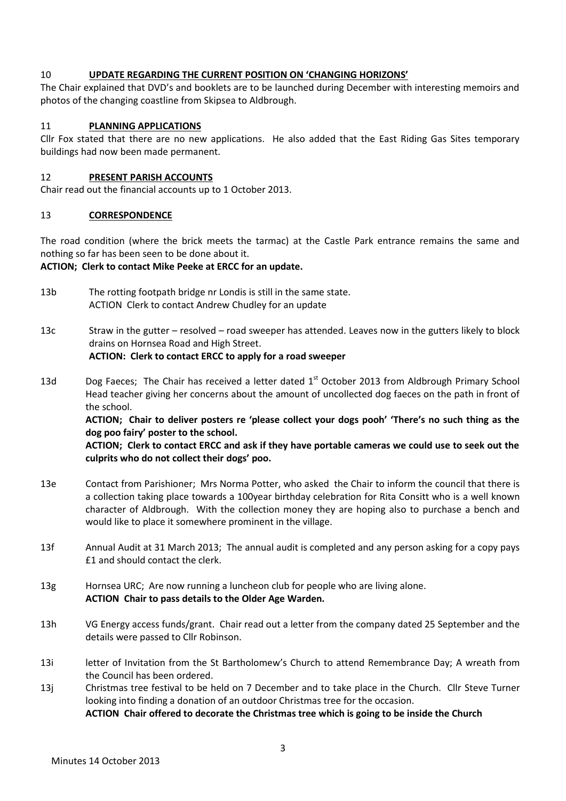### 10 **UPDATE REGARDING THE CURRENT POSITION ON 'CHANGING HORIZONS'**

The Chair explained that DVD's and booklets are to be launched during December with interesting memoirs and photos of the changing coastline from Skipsea to Aldbrough.

### 11 **PLANNING APPLICATIONS**

Cllr Fox stated that there are no new applications. He also added that the East Riding Gas Sites temporary buildings had now been made permanent.

### 12 **PRESENT PARISH ACCOUNTS**

Chair read out the financial accounts up to 1 October 2013.

### 13 **CORRESPONDENCE**

The road condition (where the brick meets the tarmac) at the Castle Park entrance remains the same and nothing so far has been seen to be done about it.

## **ACTION; Clerk to contact Mike Peeke at ERCC for an update.**

- 13b The rotting footpath bridge nr Londis is still in the same state. ACTION Clerk to contact Andrew Chudley for an update
- 13c Straw in the gutter resolved road sweeper has attended. Leaves now in the gutters likely to block drains on Hornsea Road and High Street. **ACTION: Clerk to contact ERCC to apply for a road sweeper**
- 13d Dog Faeces; The Chair has received a letter dated  $1<sup>st</sup>$  October 2013 from Aldbrough Primary School Head teacher giving her concerns about the amount of uncollected dog faeces on the path in front of the school.

**ACTION; Chair to deliver posters re 'please collect your dogs pooh' 'There's no such thing as the dog poo fairy' poster to the school.**

## **ACTION; Clerk to contact ERCC and ask if they have portable cameras we could use to seek out the culprits who do not collect their dogs' poo.**

- 13e Contact from Parishioner; Mrs Norma Potter, who asked the Chair to inform the council that there is a collection taking place towards a 100year birthday celebration for Rita Consitt who is a well known character of Aldbrough. With the collection money they are hoping also to purchase a bench and would like to place it somewhere prominent in the village.
- 13f Annual Audit at 31 March 2013; The annual audit is completed and any person asking for a copy pays £1 and should contact the clerk.
- 13g Hornsea URC; Are now running a luncheon club for people who are living alone. **ACTION Chair to pass details to the Older Age Warden.**
- 13h VG Energy access funds/grant. Chair read out a letter from the company dated 25 September and the details were passed to Cllr Robinson.
- 13i letter of Invitation from the St Bartholomew's Church to attend Remembrance Day; A wreath from the Council has been ordered.
- 13j Christmas tree festival to be held on 7 December and to take place in the Church. Cllr Steve Turner looking into finding a donation of an outdoor Christmas tree for the occasion.

**ACTION Chair offered to decorate the Christmas tree which is going to be inside the Church**